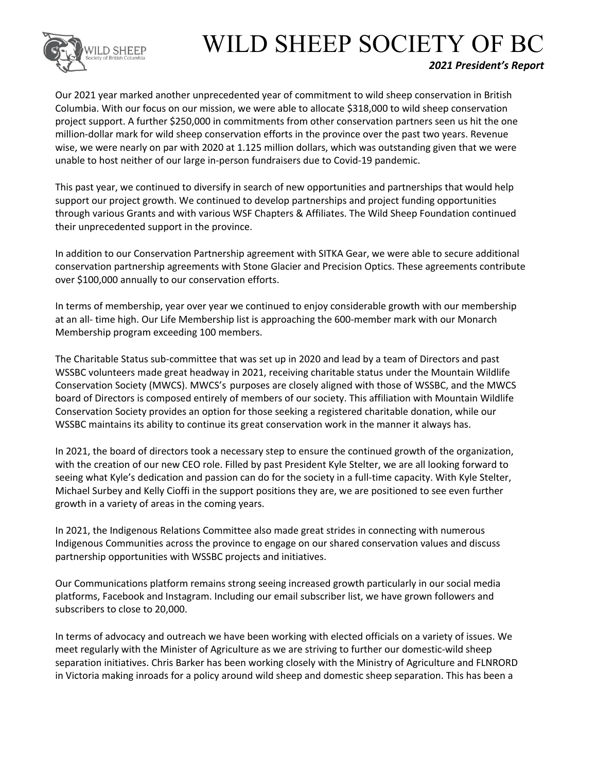

## WILD SHEEP SOCIETY OF BC

## *2021 President's Report*

Our 2021 year marked another unprecedented year of commitment to wild sheep conservation in British Columbia. With our focus on our mission, we were able to allocate \$318,000 to wild sheep conservation project support. A further \$250,000 in commitments from other conservation partners seen us hit the one million-dollar mark for wild sheep conservation efforts in the province over the past two years. Revenue wise, we were nearly on par with 2020 at 1.125 million dollars, which was outstanding given that we were unable to host neither of our large in-person fundraisers due to Covid-19 pandemic.

This past year, we continued to diversify in search of new opportunities and partnerships that would help support our project growth. We continued to develop partnerships and project funding opportunities through various Grants and with various WSF Chapters & Affiliates. The Wild Sheep Foundation continued their unprecedented support in the province.

In addition to our Conservation Partnership agreement with SITKA Gear, we were able to secure additional conservation partnership agreements with Stone Glacier and Precision Optics. These agreements contribute over \$100,000 annually to our conservation efforts.

In terms of membership, year over year we continued to enjoy considerable growth with our membership at an all- time high. Our Life Membership list is approaching the 600-member mark with our Monarch Membership program exceeding 100 members.

The Charitable Status sub-committee that was set up in 2020 and lead by a team of Directors and past WSSBC volunteers made great headway in 2021, receiving charitable status under the Mountain Wildlife Conservation Society (MWCS). MWCS's purposes are closely aligned with those of WSSBC, and the MWCS board of Directors is composed entirely of members of our society. This affiliation with Mountain Wildlife Conservation Society provides an option for those seeking a registered charitable donation, while our WSSBC maintains its ability to continue its great conservation work in the manner it always has.

In 2021, the board of directors took a necessary step to ensure the continued growth of the organization, with the creation of our new CEO role. Filled by past President Kyle Stelter, we are all looking forward to seeing what Kyle's dedication and passion can do for the society in a full-time capacity. With Kyle Stelter, Michael Surbey and Kelly Cioffi in the support positions they are, we are positioned to see even further growth in a variety of areas in the coming years.

In 2021, the Indigenous Relations Committee also made great strides in connecting with numerous Indigenous Communities across the province to engage on our shared conservation values and discuss partnership opportunities with WSSBC projects and initiatives.

Our Communications platform remains strong seeing increased growth particularly in our social media platforms, Facebook and Instagram. Including our email subscriber list, we have grown followers and subscribers to close to 20,000.

In terms of advocacy and outreach we have been working with elected officials on a variety of issues. We meet regularly with the Minister of Agriculture as we are striving to further our domestic-wild sheep separation initiatives. Chris Barker has been working closely with the Ministry of Agriculture and FLNRORD in Victoria making inroads for a policy around wild sheep and domestic sheep separation. This has been a